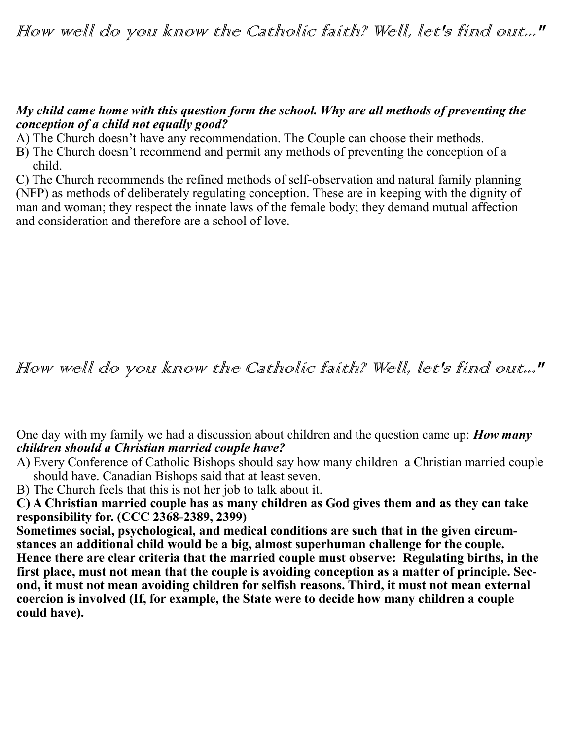## *My child came home with this question form the school. Why are all methods of preventing the conception of a child not equally good?*

A) The Church doesn't have any recommendation. The Couple can choose their methods.

B) The Church doesn't recommend and permit any methods of preventing the conception of a child.

C) The Church recommends the refined methods of self-observation and natural family planning (NFP) as methods of deliberately regulating conception. These are in keeping with the dignity of man and woman; they respect the innate laws of the female body; they demand mutual affection and consideration and therefore are a school of love.

## How well do you know the Catholic faith? Well, let's find out..."

One day with my family we had a discussion about children and the question came up: *How many children should a Christian married couple have?*

- A) Every Conference of Catholic Bishops should say how many children a Christian married couple should have. Canadian Bishops said that at least seven.
- B) The Church feels that this is not her job to talk about it.

**C) A Christian married couple has as many children as God gives them and as they can take responsibility for. (CCC 2368-2389, 2399)** 

**Sometimes social, psychological, and medical conditions are such that in the given circumstances an additional child would be a big, almost superhuman challenge for the couple. Hence there are clear criteria that the married couple must observe: Regulating births, in the first place, must not mean that the couple is avoiding conception as a matter of principle. Second, it must not mean avoiding children for selfish reasons. Third, it must not mean external coercion is involved (If, for example, the State were to decide how many children a couple could have).**